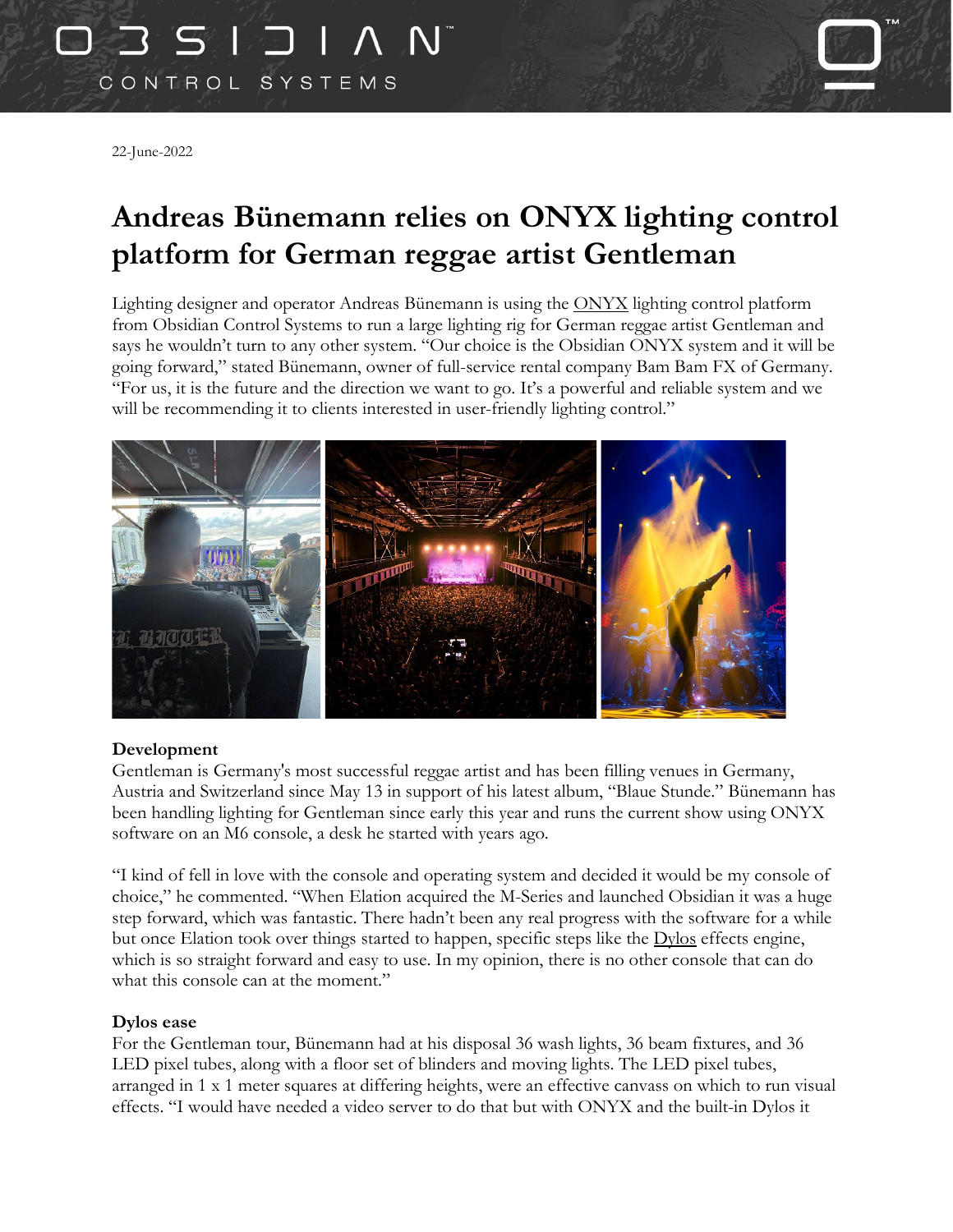# 0351 CONTROL SYSTEMS

22-June-2022

### **Andreas Bünemann relies on ONYX lighting control platform for German reggae artist Gentleman**

Lighting designer and operator Andreas Bünemann is using the [ONYX](https://obsidiancontrol.com/onyx) lighting control platform from Obsidian Control Systems to run a large lighting rig for German reggae artist Gentleman and says he wouldn't turn to any other system. "Our choice is the Obsidian ONYX system and it will be going forward," stated Bünemann, owner of full-service rental company Bam Bam FX of Germany. "For us, it is the future and the direction we want to go. It's a powerful and reliable system and we will be recommending it to clients interested in user-friendly lighting control."



#### **Development**

Gentleman is Germany's most successful reggae artist and has been filling venues in Germany, Austria and Switzerland since May 13 in support of his latest album, "Blaue Stunde." Bünemann has been handling lighting for Gentleman since early this year and runs the current show using ONYX software on an M6 console, a desk he started with years ago.

"I kind of fell in love with the console and operating system and decided it would be my console of choice," he commented. "When Elation acquired the M-Series and launched Obsidian it was a huge step forward, which was fantastic. There hadn't been any real progress with the software for a while but once Elation took over things started to happen, specific steps like the [Dylos](https://obsidiancontrol.com/dylos) effects engine, which is so straight forward and easy to use. In my opinion, there is no other console that can do what this console can at the moment."

#### **Dylos ease**

For the Gentleman tour, Bünemann had at his disposal 36 wash lights, 36 beam fixtures, and 36 LED pixel tubes, along with a floor set of blinders and moving lights. The LED pixel tubes, arranged in 1 x 1 meter squares at differing heights, were an effective canvass on which to run visual effects. "I would have needed a video server to do that but with ONYX and the built-in Dylos it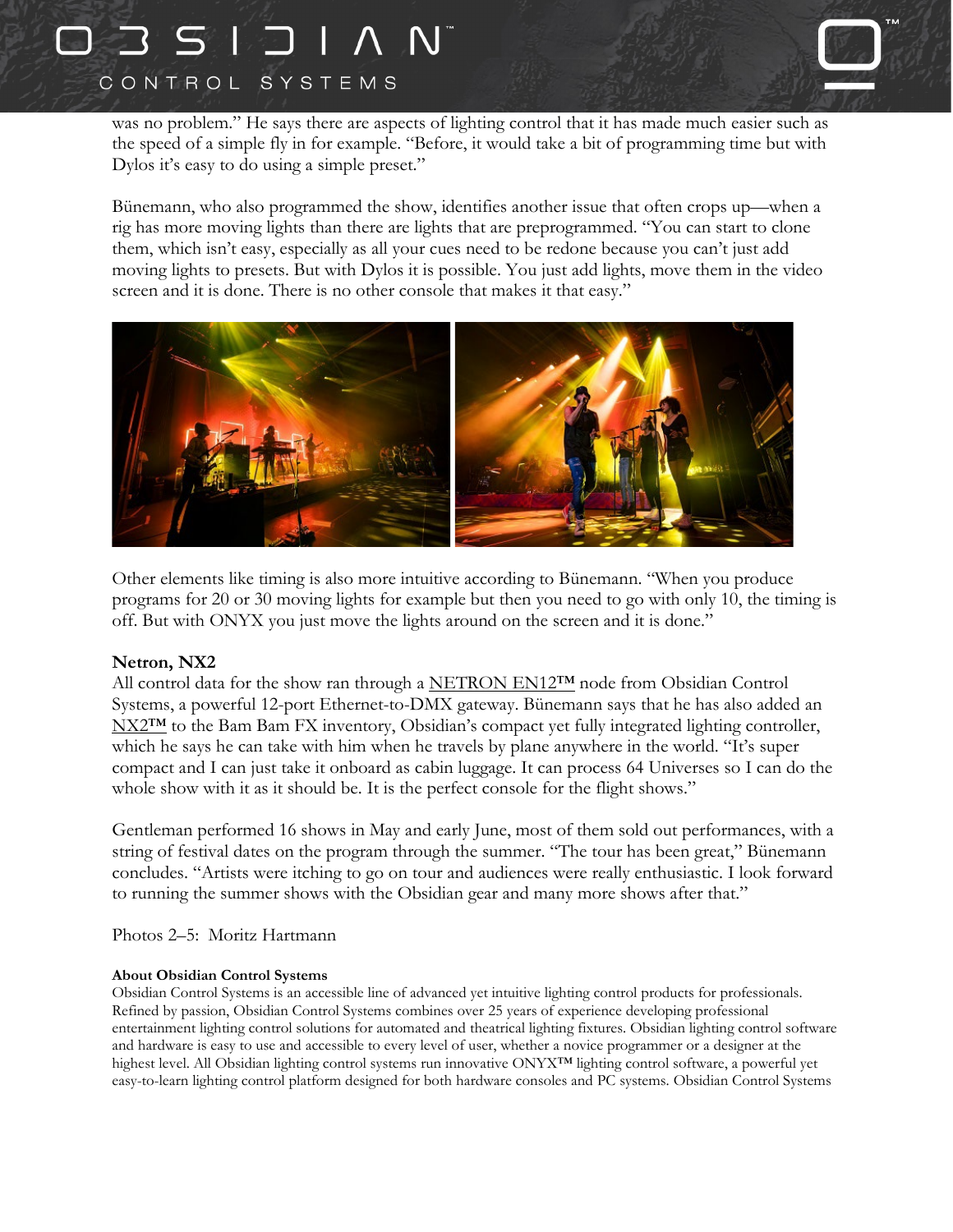## ココSIコ CONTROL SYSTEMS



was no problem." He says there are aspects of lighting control that it has made much easier such as the speed of a simple fly in for example. "Before, it would take a bit of programming time but with Dylos it's easy to do using a simple preset."

Bünemann, who also programmed the show, identifies another issue that often crops up—when a rig has more moving lights than there are lights that are preprogrammed. "You can start to clone them, which isn't easy, especially as all your cues need to be redone because you can't just add moving lights to presets. But with Dylos it is possible. You just add lights, move them in the video screen and it is done. There is no other console that makes it that easy."



Other elements like timing is also more intuitive according to Bünemann. "When you produce programs for 20 or 30 moving lights for example but then you need to go with only 10, the timing is off. But with ONYX you just move the lights around on the screen and it is done."

#### **Netron, NX2**

All control data for the show ran through a [NETRON](https://obsidiancontrol.com/en12) EN12™ node from Obsidian Control Systems, a powerful 12-port Ethernet-to-DMX gateway. Bünemann says that he has also added an NX2<sup>™</sup> to the Bam Bam FX inventory, Obsidian's compact yet fully integrated lighting controller, which he says he can take with him when he travels by plane anywhere in the world. "It's super compact and I can just take it onboard as cabin luggage. It can process 64 Universes so I can do the whole show with it as it should be. It is the perfect console for the flight shows."

Gentleman performed 16 shows in May and early June, most of them sold out performances, with a string of festival dates on the program through the summer. "The tour has been great," Bünemann concludes. "Artists were itching to go on tour and audiences were really enthusiastic. I look forward to running the summer shows with the Obsidian gear and many more shows after that."

Photos 2–5: Moritz Hartmann

#### **About Obsidian Control Systems**

Obsidian Control Systems is an accessible line of advanced yet intuitive lighting control products for professionals. Refined by passion, Obsidian Control Systems combines over 25 years of experience developing professional entertainment lighting control solutions for automated and theatrical lighting fixtures. Obsidian lighting control software and hardware is easy to use and accessible to every level of user, whether a novice programmer or a designer at the highest level. All Obsidian lighting control systems run innovative ONYX™ lighting control software, a powerful yet easy-to-learn lighting control platform designed for both hardware consoles and PC systems. Obsidian Control Systems